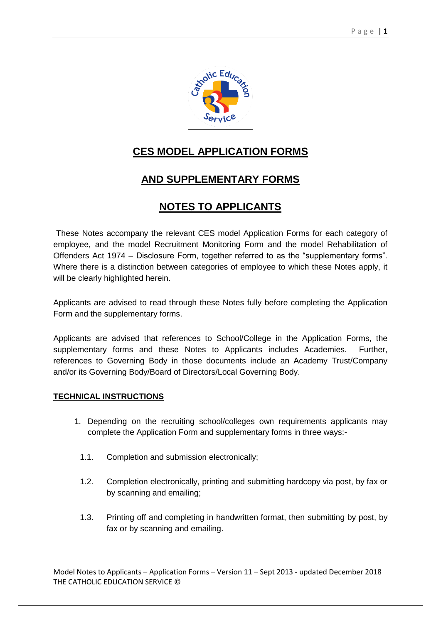

# **CES MODEL APPLICATION FORMS**

# **AND SUPPLEMENTARY FORMS**

# **NOTES TO APPLICANTS**

These Notes accompany the relevant CES model Application Forms for each category of employee, and the model Recruitment Monitoring Form and the model Rehabilitation of Offenders Act 1974 – Disclosure Form, together referred to as the "supplementary forms". Where there is a distinction between categories of employee to which these Notes apply, it will be clearly highlighted herein.

Applicants are advised to read through these Notes fully before completing the Application Form and the supplementary forms.

Applicants are advised that references to School/College in the Application Forms, the supplementary forms and these Notes to Applicants includes Academies. Further, references to Governing Body in those documents include an Academy Trust/Company and/or its Governing Body/Board of Directors/Local Governing Body.

### **TECHNICAL INSTRUCTIONS**

- 1. Depending on the recruiting school/colleges own requirements applicants may complete the Application Form and supplementary forms in three ways:-
	- 1.1. Completion and submission electronically;
	- 1.2. Completion electronically, printing and submitting hardcopy via post, by fax or by scanning and emailing;
	- 1.3. Printing off and completing in handwritten format, then submitting by post, by fax or by scanning and emailing.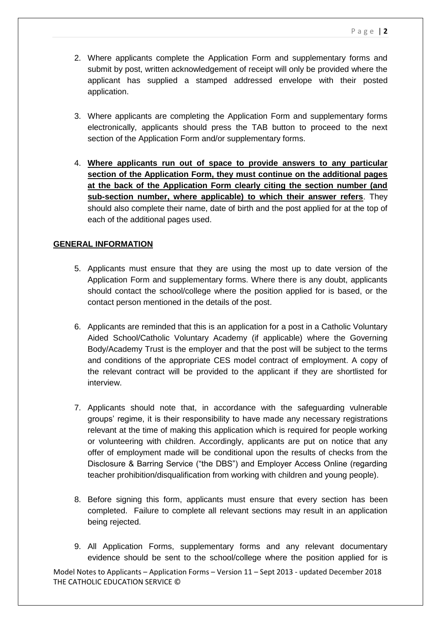- 2. Where applicants complete the Application Form and supplementary forms and submit by post, written acknowledgement of receipt will only be provided where the applicant has supplied a stamped addressed envelope with their posted application.
- 3. Where applicants are completing the Application Form and supplementary forms electronically, applicants should press the TAB button to proceed to the next section of the Application Form and/or supplementary forms.
- 4. **Where applicants run out of space to provide answers to any particular section of the Application Form, they must continue on the additional pages at the back of the Application Form clearly citing the section number (and sub-section number, where applicable) to which their answer refers**. They should also complete their name, date of birth and the post applied for at the top of each of the additional pages used.

## **GENERAL INFORMATION**

- 5. Applicants must ensure that they are using the most up to date version of the Application Form and supplementary forms. Where there is any doubt, applicants should contact the school/college where the position applied for is based, or the contact person mentioned in the details of the post.
- 6. Applicants are reminded that this is an application for a post in a Catholic Voluntary Aided School/Catholic Voluntary Academy (if applicable) where the Governing Body/Academy Trust is the employer and that the post will be subject to the terms and conditions of the appropriate CES model contract of employment. A copy of the relevant contract will be provided to the applicant if they are shortlisted for interview.
- 7. Applicants should note that, in accordance with the safeguarding vulnerable groups' regime, it is their responsibility to have made any necessary registrations relevant at the time of making this application which is required for people working or volunteering with children. Accordingly, applicants are put on notice that any offer of employment made will be conditional upon the results of checks from the Disclosure & Barring Service ("the DBS") and Employer Access Online (regarding teacher prohibition/disqualification from working with children and young people).
- 8. Before signing this form, applicants must ensure that every section has been completed. Failure to complete all relevant sections may result in an application being rejected.
- 9. All Application Forms, supplementary forms and any relevant documentary evidence should be sent to the school/college where the position applied for is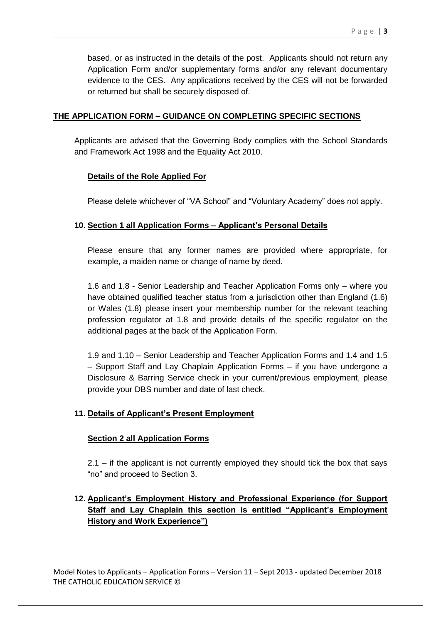based, or as instructed in the details of the post. Applicants should not return any Application Form and/or supplementary forms and/or any relevant documentary evidence to the CES. Any applications received by the CES will not be forwarded or returned but shall be securely disposed of.

# **THE APPLICATION FORM – GUIDANCE ON COMPLETING SPECIFIC SECTIONS**

Applicants are advised that the Governing Body complies with the School Standards and Framework Act 1998 and the Equality Act 2010.

# **Details of the Role Applied For**

Please delete whichever of "VA School" and "Voluntary Academy" does not apply.

# **10. Section 1 all Application Forms – Applicant's Personal Details**

Please ensure that any former names are provided where appropriate, for example, a maiden name or change of name by deed.

1.6 and 1.8 - Senior Leadership and Teacher Application Forms only – where you have obtained qualified teacher status from a jurisdiction other than England (1.6) or Wales (1.8) please insert your membership number for the relevant teaching profession regulator at 1.8 and provide details of the specific regulator on the additional pages at the back of the Application Form.

1.9 and 1.10 – Senior Leadership and Teacher Application Forms and 1.4 and 1.5 – Support Staff and Lay Chaplain Application Forms – if you have undergone a Disclosure & Barring Service check in your current/previous employment, please provide your DBS number and date of last check.

# **11. Details of Applicant's Present Employment**

## **Section 2 all Application Forms**

2.1 – if the applicant is not currently employed they should tick the box that says "no" and proceed to Section 3.

# **12. Applicant's Employment History and Professional Experience (for Support Staff and Lay Chaplain this section is entitled "Applicant's Employment History and Work Experience")**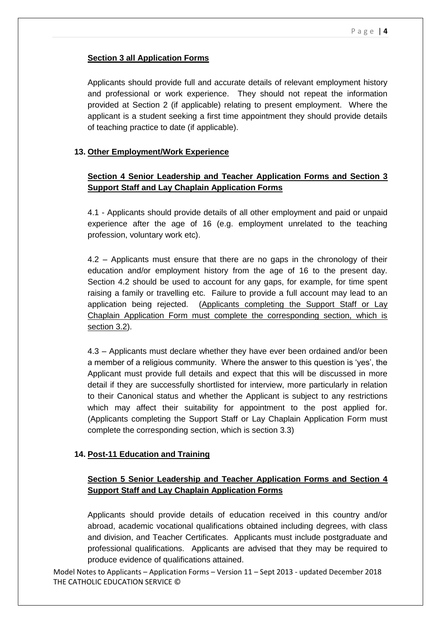## **Section 3 all Application Forms**

Applicants should provide full and accurate details of relevant employment history and professional or work experience. They should not repeat the information provided at Section 2 (if applicable) relating to present employment. Where the applicant is a student seeking a first time appointment they should provide details of teaching practice to date (if applicable).

## **13. Other Employment/Work Experience**

# **Section 4 Senior Leadership and Teacher Application Forms and Section 3 Support Staff and Lay Chaplain Application Forms**

4.1 - Applicants should provide details of all other employment and paid or unpaid experience after the age of 16 (e.g. employment unrelated to the teaching profession, voluntary work etc).

4.2 – Applicants must ensure that there are no gaps in the chronology of their education and/or employment history from the age of 16 to the present day. Section 4.2 should be used to account for any gaps, for example, for time spent raising a family or travelling etc. Failure to provide a full account may lead to an application being rejected. (Applicants completing the Support Staff or Lay Chaplain Application Form must complete the corresponding section, which is section 3.2).

4.3 – Applicants must declare whether they have ever been ordained and/or been a member of a religious community. Where the answer to this question is 'yes', the Applicant must provide full details and expect that this will be discussed in more detail if they are successfully shortlisted for interview, more particularly in relation to their Canonical status and whether the Applicant is subject to any restrictions which may affect their suitability for appointment to the post applied for. (Applicants completing the Support Staff or Lay Chaplain Application Form must complete the corresponding section, which is section 3.3)

### **14. Post-11 Education and Training**

## **Section 5 Senior Leadership and Teacher Application Forms and Section 4 Support Staff and Lay Chaplain Application Forms**

Applicants should provide details of education received in this country and/or abroad, academic vocational qualifications obtained including degrees, with class and division, and Teacher Certificates. Applicants must include postgraduate and professional qualifications. Applicants are advised that they may be required to produce evidence of qualifications attained.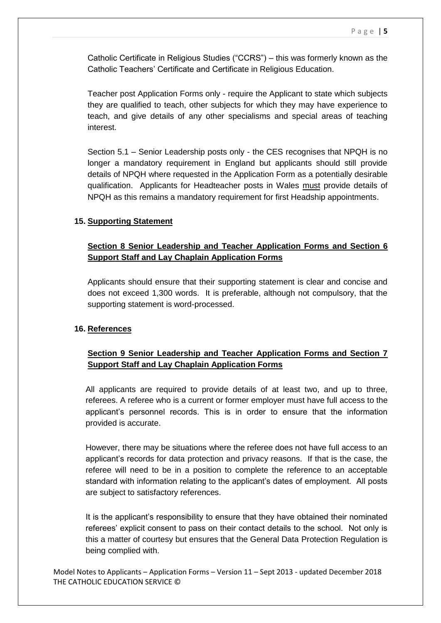Catholic Certificate in Religious Studies ("CCRS") – this was formerly known as the Catholic Teachers' Certificate and Certificate in Religious Education.

Teacher post Application Forms only - require the Applicant to state which subjects they are qualified to teach, other subjects for which they may have experience to teach, and give details of any other specialisms and special areas of teaching interest.

Section 5.1 – Senior Leadership posts only - the CES recognises that NPQH is no longer a mandatory requirement in England but applicants should still provide details of NPQH where requested in the Application Form as a potentially desirable qualification. Applicants for Headteacher posts in Wales must provide details of NPQH as this remains a mandatory requirement for first Headship appointments.

## **15. Supporting Statement**

# **Section 8 Senior Leadership and Teacher Application Forms and Section 6 Support Staff and Lay Chaplain Application Forms**

Applicants should ensure that their supporting statement is clear and concise and does not exceed 1,300 words. It is preferable, although not compulsory, that the supporting statement is word-processed.

### **16. References**

# **Section 9 Senior Leadership and Teacher Application Forms and Section 7 Support Staff and Lay Chaplain Application Forms**

All applicants are required to provide details of at least two, and up to three, referees. A referee who is a current or former employer must have full access to the applicant's personnel records. This is in order to ensure that the information provided is accurate.

However, there may be situations where the referee does not have full access to an applicant's records for data protection and privacy reasons. If that is the case, the referee will need to be in a position to complete the reference to an acceptable standard with information relating to the applicant's dates of employment. All posts are subject to satisfactory references.

It is the applicant's responsibility to ensure that they have obtained their nominated referees' explicit consent to pass on their contact details to the school. Not only is this a matter of courtesy but ensures that the General Data Protection Regulation is being complied with.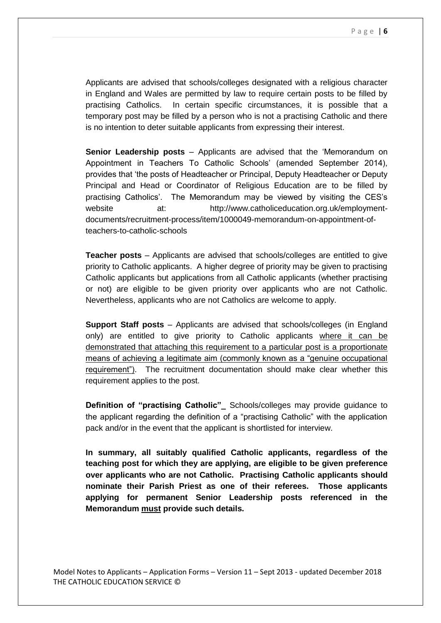Applicants are advised that schools/colleges designated with a religious character in England and Wales are permitted by law to require certain posts to be filled by practising Catholics. In certain specific circumstances, it is possible that a temporary post may be filled by a person who is not a practising Catholic and there is no intention to deter suitable applicants from expressing their interest.

**Senior Leadership posts** – Applicants are advised that the 'Memorandum on Appointment in Teachers To Catholic Schools' (amended September 2014), provides that 'the posts of Headteacher or Principal, Deputy Headteacher or Deputy Principal and Head or Coordinator of Religious Education are to be filled by practising Catholics'. The Memorandum may be viewed by visiting the CES's website at: http://www.catholiceducation.org.uk/employmentdocuments/recruitment-process/item/1000049-memorandum-on-appointment-ofteachers-to-catholic-schools

**Teacher posts** – Applicants are advised that schools/colleges are entitled to give priority to Catholic applicants. A higher degree of priority may be given to practising Catholic applicants but applications from all Catholic applicants (whether practising or not) are eligible to be given priority over applicants who are not Catholic. Nevertheless, applicants who are not Catholics are welcome to apply.

**Support Staff posts** – Applicants are advised that schools/colleges (in England only) are entitled to give priority to Catholic applicants where it can be demonstrated that attaching this requirement to a particular post is a proportionate means of achieving a legitimate aim (commonly known as a "genuine occupational requirement"). The recruitment documentation should make clear whether this requirement applies to the post.

**Definition of "practising Catholic"\_** Schools/colleges may provide guidance to the applicant regarding the definition of a "practising Catholic" with the application pack and/or in the event that the applicant is shortlisted for interview.

**In summary, all suitably qualified Catholic applicants, regardless of the teaching post for which they are applying, are eligible to be given preference over applicants who are not Catholic. Practising Catholic applicants should nominate their Parish Priest as one of their referees. Those applicants applying for permanent Senior Leadership posts referenced in the Memorandum must provide such details.**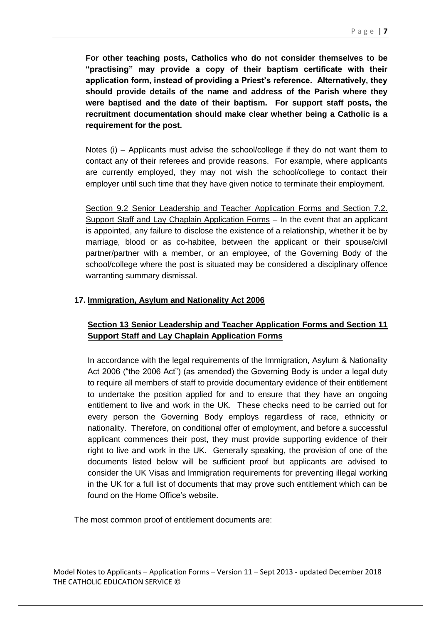**For other teaching posts, Catholics who do not consider themselves to be "practising" may provide a copy of their baptism certificate with their application form, instead of providing a Priest's reference. Alternatively, they should provide details of the name and address of the Parish where they were baptised and the date of their baptism. For support staff posts, the recruitment documentation should make clear whether being a Catholic is a requirement for the post.** 

Notes (i) – Applicants must advise the school/college if they do not want them to contact any of their referees and provide reasons. For example, where applicants are currently employed, they may not wish the school/college to contact their employer until such time that they have given notice to terminate their employment.

Section 9.2 Senior Leadership and Teacher Application Forms and Section 7.2. Support Staff and Lay Chaplain Application Forms – In the event that an applicant is appointed, any failure to disclose the existence of a relationship, whether it be by marriage, blood or as co-habitee, between the applicant or their spouse/civil partner/partner with a member, or an employee, of the Governing Body of the school/college where the post is situated may be considered a disciplinary offence warranting summary dismissal.

## **17. Immigration, Asylum and Nationality Act 2006**

# **Section 13 Senior Leadership and Teacher Application Forms and Section 11 Support Staff and Lay Chaplain Application Forms**

In accordance with the legal requirements of the Immigration, Asylum & Nationality Act 2006 ("the 2006 Act") (as amended) the Governing Body is under a legal duty to require all members of staff to provide documentary evidence of their entitlement to undertake the position applied for and to ensure that they have an ongoing entitlement to live and work in the UK. These checks need to be carried out for every person the Governing Body employs regardless of race, ethnicity or nationality. Therefore, on conditional offer of employment, and before a successful applicant commences their post, they must provide supporting evidence of their right to live and work in the UK. Generally speaking, the provision of one of the documents listed below will be sufficient proof but applicants are advised to consider the UK Visas and Immigration requirements for preventing illegal working in the UK for a full list of documents that may prove such entitlement which can be found on the Home Office's website.

The most common proof of entitlement documents are: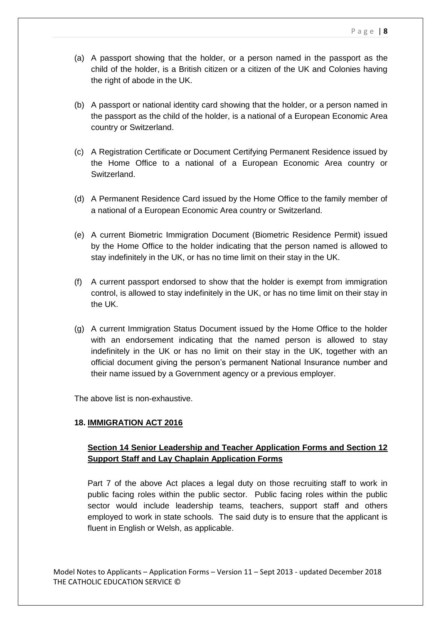- (a) A passport showing that the holder, or a person named in the passport as the child of the holder, is a British citizen or a citizen of the UK and Colonies having the right of abode in the UK.
- (b) A passport or national identity card showing that the holder, or a person named in the passport as the child of the holder, is a national of a European Economic Area country or Switzerland.
- (c) A Registration Certificate or Document Certifying Permanent Residence issued by the Home Office to a national of a European Economic Area country or Switzerland.
- (d) A Permanent Residence Card issued by the Home Office to the family member of a national of a European Economic Area country or Switzerland.
- (e) A current Biometric Immigration Document (Biometric Residence Permit) issued by the Home Office to the holder indicating that the person named is allowed to stay indefinitely in the UK, or has no time limit on their stay in the UK.
- (f) A current passport endorsed to show that the holder is exempt from immigration control, is allowed to stay indefinitely in the UK, or has no time limit on their stay in the UK.
- (g) A current Immigration Status Document issued by the Home Office to the holder with an endorsement indicating that the named person is allowed to stay indefinitely in the UK or has no limit on their stay in the UK, together with an official document giving the person's permanent National Insurance number and their name issued by a Government agency or a previous employer.

The above list is non-exhaustive.

## **18. IMMIGRATION ACT 2016**

# **Section 14 Senior Leadership and Teacher Application Forms and Section 12 Support Staff and Lay Chaplain Application Forms**

Part 7 of the above Act places a legal duty on those recruiting staff to work in public facing roles within the public sector. Public facing roles within the public sector would include leadership teams, teachers, support staff and others employed to work in state schools. The said duty is to ensure that the applicant is fluent in English or Welsh, as applicable.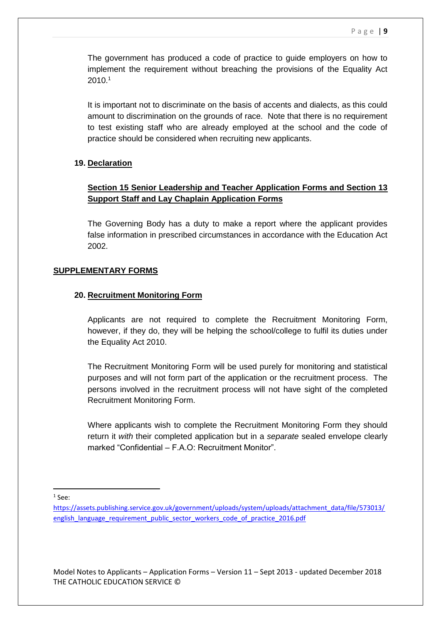The government has produced a code of practice to guide employers on how to implement the requirement without breaching the provisions of the Equality Act 2010.<sup>1</sup>

It is important not to discriminate on the basis of accents and dialects, as this could amount to discrimination on the grounds of race. Note that there is no requirement to test existing staff who are already employed at the school and the code of practice should be considered when recruiting new applicants.

### **19. Declaration**

# **Section 15 Senior Leadership and Teacher Application Forms and Section 13 Support Staff and Lay Chaplain Application Forms**

The Governing Body has a duty to make a report where the applicant provides false information in prescribed circumstances in accordance with the Education Act 2002.

### **SUPPLEMENTARY FORMS**

### **20. Recruitment Monitoring Form**

Applicants are not required to complete the Recruitment Monitoring Form, however, if they do, they will be helping the school/college to fulfil its duties under the Equality Act 2010.

The Recruitment Monitoring Form will be used purely for monitoring and statistical purposes and will not form part of the application or the recruitment process. The persons involved in the recruitment process will not have sight of the completed Recruitment Monitoring Form.

Where applicants wish to complete the Recruitment Monitoring Form they should return it *with* their completed application but in a *separate* sealed envelope clearly marked "Confidential – F.A.O: Recruitment Monitor".

 $1$  See:

 $\overline{\phantom{a}}$ 

[https://assets.publishing.service.gov.uk/government/uploads/system/uploads/attachment\\_data/file/573013/](https://assets.publishing.service.gov.uk/government/uploads/system/uploads/attachment_data/file/573013/english_language_requirement_public_sector_workers_code_of_practice_2016.pdf) english language requirement public sector workers code of practice 2016.pdf